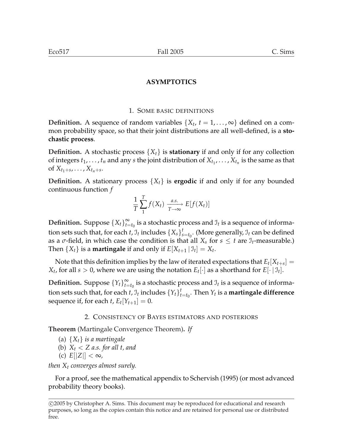## 1. SOME BASIC DEFINITIONS

**Definition.** A sequence of random variables  $\{X_t, t = 1, \ldots, \infty\}$  defined on a common probability space, so that their joint distributions are all well-defined, is a **stochastic process**.

**Definition.** A stochastic process {*Xt*} is **stationary** if and only if for any collection of integers  $t_1, \ldots, t_n$  and any *s* the joint distribution of  $X_{t_1}, \ldots, X_{t_n}$  is the same as that of  $X_{t_1 + s}, \ldots, X_{t_n + s}$ .

**Definition.** A stationary process  $\{X_t\}$  is **ergodic** if and only if for any bounded continuous function *f*

$$
\frac{1}{T} \sum_{1}^{T} f(X_t) \xrightarrow[T \to \infty]{a.s.} E[f(X_t)]
$$

**Definition.** Suppose  ${X_t}_{t=0}^{\infty}$  $\sum\limits_{t=t_0}^{\infty}$  is a stochastic process and  $\mathfrak{I}_t$  is a sequence of information sets such that, for each  $t$ ,  $\mathcal{I}_t$  includes  $\{X_s\}_{s}^t$  $\int_{s=t_0}^{t}$ . (More generally,  $\mathfrak{I}_t$  can be defined as a  $\sigma$ -field, in which case the condition is that all  $X_s$  for  $s \leq t$  are  $\mathcal{I}_t$ -measurable.) Then  $\{X_t\}$  is a **martingale** if and only if  $E[X_{t+1} | \mathcal{I}_t] = X_t$ .

Note that this definition implies by the law of iterated expectations that  $E_t[X_{t+s}] =$ *X*<sub>t</sub>, for all *s* > 0, where we are using the notation  $E_t[\cdot]$  as a shorthand for  $E[\cdot | \mathcal{I}_t]$ .

**Definition.** Suppose  $\{Y_t\}_{t=1}^{\infty}$  $\sum\limits_{t=t_0}^{\infty}$  is a stochastic process and  $\mathfrak{I}_t$  is a sequence of information sets such that, for each *t*,  $\mathfrak{I}_t$  includes  $\{Y_t\}^t_t$  $_{t=t_0}^t$ . Then  $Y_t$  is a **martingale difference** sequence if, for each *t*,  $E_t[Y_{t+1}] = 0$ .

### 2. CONSISTENCY OF BAYES ESTIMATORS AND POSTERIORS

**Theorem** (Martingale Convergence Theorem)**.** *If*

- (a) {*Xt*} *is a martingale*
- (b) *X<sup>t</sup>* < *Z a.s. for all t, and*
- (c) *E*[|*Z*|] < ∞*,*

*then X<sup>t</sup> converges almost surely.*

For a proof, see the mathematical appendix to Schervish (1995) (or most advanced probability theory books).

<sup>°</sup>c 2005 by Christopher A. Sims. This document may be reproduced for educational and research purposes, so long as the copies contain this notice and are retained for personal use or distributed free.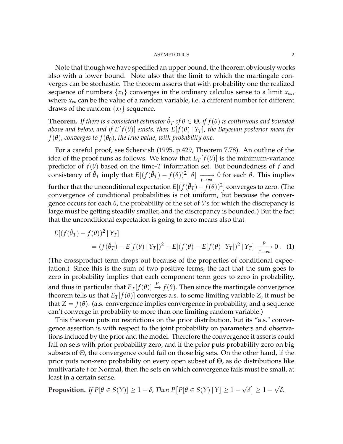Note that though we have specified an upper bound, the theorem obviously works also with a lower bound. Note also that the limit to which the martingale converges can be stochastic. The theorem asserts that with probability one the realized sequence of numbers  $\{x_t\}$  converges in the ordinary calculus sense to a limit  $x_{\infty}$ , where  $x_{\infty}$  can be the value of a random variable, i.e. a different number for different draws of the random  $\{x_t\}$  sequence.

**Theorem.** *If there is a consistent estimator*  $\hat{\theta}_T$  *of*  $\theta \in \Theta$ *, if f*( $\theta$ ) *is continuous and bounded above and below, and if*  $E[f(\theta)]$  *exists, then*  $E[f(\theta) | Y_T]$ *, the Bayesian posterior mean for*  $f(\theta)$ , converges to  $f(\theta_0)$ , the true value, with probability one.

For a careful proof, see Schervish (1995, p.429, Theorem 7.78). An outline of the idea of the proof runs as follows. We know that  $E_T[f(\theta)]$  is the minimum-variance predictor of  $f(\theta)$  based on the time-*T* information set. But boundedness of  $f$  and consistency of  $\hat{\theta}_T$  imply that  $E[(f(\hat{\theta}_T) - f(\theta))^2 | \theta] \longrightarrow 0$  for each  $\theta$ . This implies further that the unconditional expectation  $E[(f(\hat{\theta}_T) - f(\theta))^2]$  converges to zero. (The convergence of conditional probabilities is not uniform, but because the convergence occurs for each *θ*, the probability of the set of *θ*'s for which the discrepancy is large must be getting steadily smaller, and the discrepancy is bounded.) But the fact that the unconditional expectation is going to zero means also that

$$
E[(f(\hat{\theta}_T) - f(\theta))^2 | Y_T]
$$
  
=  $(f(\hat{\theta}_T) - E[f(\theta) | Y_T])^2 + E[(f(\theta) - E[f(\theta) | Y_T])^2 | Y_T] \xrightarrow[T \to \infty]{P} 0.$  (1)

(The crossproduct term drops out because of the properties of conditional expectation.) Since this is the sum of two positive terms, the fact that the sum goes to zero in probability implies that each component term goes to zero in probability, and thus in particular that  $E_T[f(\theta)] \stackrel{P}{\rightarrow} f(\theta)$ . Then since the martingale convergence theorem tells us that  $E_T[f(\theta)]$  converges a.s. to some limiting variable *Z*, it must be that  $Z = f(\theta)$ . (a.s. convergence implies convergence in probability, and a sequence can't converge in probabiity to more than one limiting random variable.)

This theorem puts no restrictions on the prior distribution, but its "a.s." convergence assertion is with respect to the joint probability on parameters and observations induced by the prior and the model. Therefore the convergence it asserts could fail on sets with prior probability zero, and if the prior puts probability zero on big subsets of Θ, the convergence could fail on those big sets. On the other hand, if the prior puts non-zero probability on every open subset of  $\Theta$ , as do distributions like multivariate *t* or Normal, then the sets on which convergence fails must be small, at least in a certain sense.

**Proposition.** *If*  $P[\theta \in S(Y)] \geq 1 - \delta$ , Then P £  $P[\theta \in S(Y) | Y] \geq 1 -$ √ *δ* l<br>E  $\geq 1 -$ √ *δ.*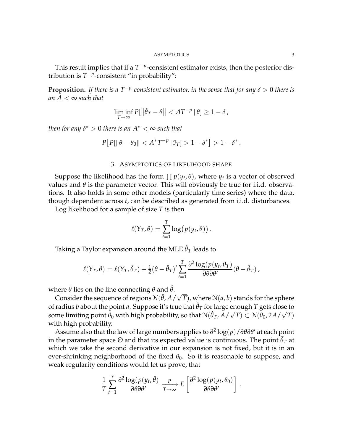This result implies that if a  $T^{-p}$ -consistent estimator exists, then the posterior distribution is  $T^{-p}$ -consistent "in probability":

**Proposition.** If there is a  $T^{-p}$ -consistent estimator, in the sense that for any  $\delta > 0$  there is *an*  $A < \infty$  *such that* 

$$
\liminf_{T \to \infty} P[\|\hat{\theta}_T - \theta\| < AT^{-p} \,|\, \theta] \ge 1 - \delta \,,
$$

*then for any*  $\delta^* > 0$  *there is an*  $A^* < \infty$  *such that* 

$$
P[P[\|\theta - \theta_0\| < A^*T^{-p} \,|\, \mathfrak{I}_T] > 1 - \delta^*] > 1 - \delta^*.
$$

### 3. ASYMPTOTICS OF LIKELIHOOD SHAPE

Suppose the likelihood has the form  $\prod p(y_t, \theta)$ , where  $y_t$  is a vector of observed values and  $\theta$  is the parameter vector. This will obviously be true for i.i.d. observations. It also holds in some other models (particularly time series) where the data, though dependent across *t*, can be described as generated from i.i.d. disturbances.

Log likelihood for a sample of size *T* is then

$$
\ell(Y_T,\theta) = \sum_{t=1}^T \log(p(y_t,\theta)).
$$

Taking a Taylor expansion around the MLE  $\hat{\theta}_T$  leads to

$$
\ell(\Upsilon_T,\theta) = \ell(\Upsilon_T,\hat{\theta}_T) + \frac{1}{2}(\theta-\hat{\theta}_T)'\sum_{t=1}^T\frac{\partial^2\log(p(y_t,\bar{\theta}_T)}{\partial\theta\partial\theta'}(\theta-\hat{\theta}_T),
$$

where  $\theta$  lies on the line connecting  $\theta$  and  $\hat{\theta}$ .

nere σ nes on the line connecting σ and σ.<br>Consider the sequence of regions N(*θ, A* / √ *T*), where  $N(a, b)$  stands for the sphere of radius *b* about the point *a*. Suppose it's true that  $\hat{\theta}_T$  for large enough *T* gets close to some limiting point  $\hat{\theta}_0$  with high probability, so that  $\mathcal{N}(\hat{\theta}_T, A/\sqrt{T}) \subset \mathcal{N}(\tilde{\theta}_0, 2A/\sqrt{T})$ with high probability.

Assume also that the law of large numbers applies to  $\partial^2 \log(p) / \partial \theta \partial \theta'$  at each point in the parameter space  $\Theta$  and that its expected value is continuous. The point  $\theta_T$  at which we take the second derivative in our expansion is not fixed, but it is in an ever-shrinking neighborhood of the fixed  $\theta_0$ . So it is reasonable to suppose, and weak regularity conditions would let us prove, that

$$
\frac{1}{T} \sum_{t=1}^T \frac{\partial^2 \log(p(y_t, \bar{\theta})}{\partial \theta \partial \theta'} \xrightarrow[T \to \infty]{P} E\left[\frac{\partial^2 \log(p(y_t, \theta_0))}{\partial \theta \partial \theta'}\right].
$$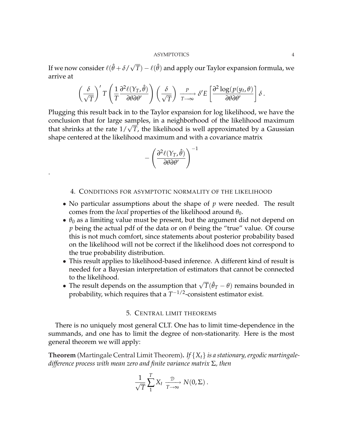If we now consider  $\ell(\hat{\theta} + \delta/\sqrt{2})$  $\overline{T}) - \ell(\hat{\theta})$  and apply our Taylor expansion formula, we arrive at  $\overline{a}$ 

$$
\left(\frac{\delta}{\sqrt{T}}\right)'T\left(\frac{1}{T}\frac{\partial^2\ell(\Upsilon_T,\hat{\theta})}{\partial\theta\partial\theta'}\right)\left(\frac{\delta}{\sqrt{T}}\right)\xrightarrow[T\to\infty]{P}\delta'E\left[\frac{\partial^2\log(p(y_t,\theta))}{\partial\theta\partial\theta'}\right]\delta.
$$

Plugging this result back in to the Taylor expansion for log likelihood, we have the conclusion that for large samples, in a neighborhood of the likelihood maximum that shrinks at the rate  $1/\sqrt{T}$ , the likelihood is well approximated by a Gaussian shape centered at the likelihood maximum and with a covariance matrix

$$
-\left(\frac{\partial^2 \ell(\Upsilon_T, \hat{\theta})}{\partial \theta \partial \theta'}\right)^{-1}
$$

.

## 4. CONDITIONS FOR ASYMPTOTIC NORMALITY OF THE LIKELIHOOD

- No particular assumptions about the shape of *p* were needed. The result comes from the *local* properties of the likelihood around  $\theta_0$ .
- $\bullet$   $\theta_0$  as a limiting value must be present, but the argument did not depend on *p* being the actual pdf of the data or on *θ* being the "true" value. Of course this is not much comfort, since statements about posterior probability based on the likelihood will not be correct if the likelihood does not correspond to the true probability distribution.
- This result applies to likelihood-based inference. A different kind of result is needed for a Bayesian interpretation of estimators that cannot be connected to the likelihood.
- The result depends on the assumption that  $\sqrt{T}(\hat{\theta}_T \theta)$  remains bounded in <br>● The result depends on the assumption that  $\sqrt{T}(\hat{\theta}_T \theta)$  remains bounded in probability, which requires that a  $T^{-1/2}$ -consistent estimator exist.

### 5. CENTRAL LIMIT THEOREMS

There is no uniquely most general CLT. One has to limit time-dependence in the summands, and one has to limit the degree of non-stationarity. Here is the most general theorem we will apply:

**Theorem** (Martingale Central Limit Theorem)**.** *If* {*Xt*} *is a stationary, ergodic martingaledifference process with mean zero and finite variance matrix* Σ*, then*

$$
\frac{1}{\sqrt{T}}\sum_{1}^{T}X_{t}\xrightarrow[T\to\infty]{}N(0,\Sigma).
$$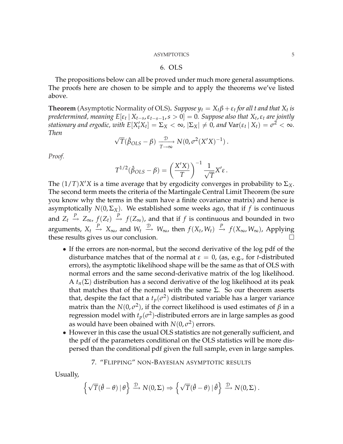## 6. OLS

The propositions below can all be proved under much more general assumptions. The proofs here are chosen to be simple and to apply the theorems we've listed above.

**Theorem** (Asymptotic Normality of OLS). *Suppose*  $y_t = X_t\beta + \varepsilon_t$  *for all t and that*  $X_t$  *is predetermined, meaning*  $E[\varepsilon_t | X_{t-s}, \varepsilon_{t-s-1}, s > 0] = 0$ . Suppose also that  $X_t$ ,  $\varepsilon_t$  are jointly *stationary and ergodic, with*  $E[X_t^{\prime} X_t] = \Sigma_X < \infty$ *,*  $|\Sigma_X| \neq 0$ *, and*  $\text{Var}(\varepsilon_t | X_t) = \sigma^2 < \infty$ *. Then* √

$$
\sqrt{T}(\hat{\beta}_{OLS} - \beta) \xrightarrow[T \to \infty]{\mathcal{D}} N(0, \sigma^2(X'X)^{-1}).
$$

*Proof.*

$$
T^{1/2}(\hat{\beta}_{OLS} - \beta) = \left(\frac{X'X)}{T}\right)^{-1} \frac{1}{\sqrt{T}} X'\varepsilon.
$$

The  $(1/T)X'X$  is a time average that by ergodicity converges in probability to  $\Sigma_X$ . The second term meets the criteria of the Martingale Central Limit Theorem (be sure you know why the terms in the sum have a finite covariance matrix) and hence is asymptotically  $N(0, \Sigma_X)$ . We established some weeks ago, that if f is continuous and  $Z_t \stackrel{P}{\to} Z_\infty$ ,  $f(Z_t) \stackrel{P}{\to} f(Z_\infty)$ , and that if *f* is continuous and bounded in two arguments,  $X_t \stackrel{P}{\to} X_\infty$ , and  $W_t \stackrel{\mathcal{D}}{\to} W_\infty$ , then  $f(X_t, W_t) \stackrel{P}{\to} f(X_\infty, W_\infty)$ , Applying these results gives us our conclusion.  $\Box$ 

- If the errors are non-normal, but the second derivative of the log pdf of the disturbance matches that of the normal at  $\varepsilon = 0$ , (as, e.g., for *t*-distributed errors), the asymptotic likelihood shape will be the same as that of OLS with normal errors and the same second-derivative matrix of the log likelihood. A  $t_n(\Sigma)$  distribution has a second derivative of the log likelihood at its peak that matches that of the normal with the same  $\Sigma$ . So our theorem asserts that, despite the fact that a  $t_p(\sigma^2)$  distributed variable has a larger variance matrix than the  $N(0, \sigma^2)$ , if the correct likelihood is used estimates of  $\beta$  in a regression model with  $t_p(\sigma^2)$ -distributed errors are in large samples as good as would have been obained with  $N(0, \sigma^2)$  errors.
- However in this case the usual OLS statistics are not generally sufficient, and the pdf of the parameters conditional on the OLS statistics will be more dispersed than the conditional pdf given the full sample, even in large samples.

# 7. "FLIPPING" NON-BAYESIAN ASYMPTOTIC RESULTS

Usually,

$$
\left\{\sqrt{T}(\hat{\theta}-\theta) \,|\, \theta\right\} \xrightarrow{\mathcal{D}} N(0,\Sigma) \Rightarrow \left\{\sqrt{T}(\hat{\theta}-\theta) \,|\, \hat{\theta}\right\} \xrightarrow{\mathcal{D}} N(0,\Sigma).
$$